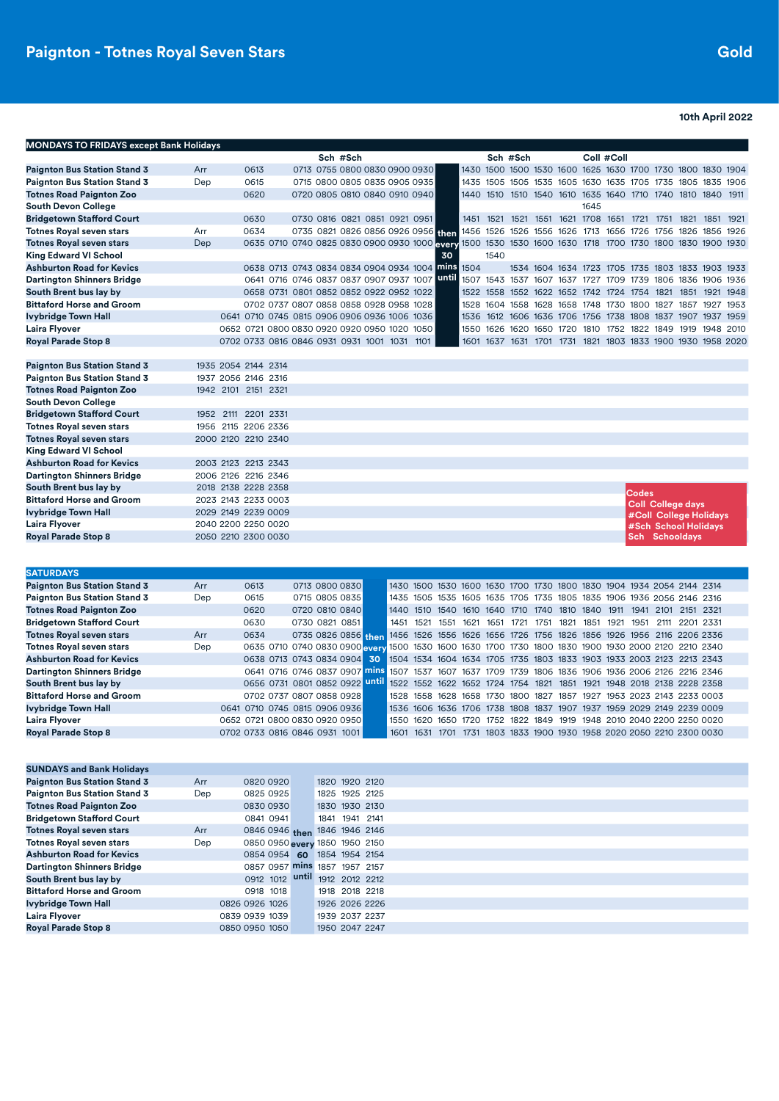**10th April 2022**

| <b>MONDAYS TO FRIDAYS except Bank Holidays</b> |                     |      |  |          |                                                                                                           |  |       |      |      |                                                             |  |      |            |                                                   |                          |  |  |
|------------------------------------------------|---------------------|------|--|----------|-----------------------------------------------------------------------------------------------------------|--|-------|------|------|-------------------------------------------------------------|--|------|------------|---------------------------------------------------|--------------------------|--|--|
|                                                |                     |      |  | Sch #Sch |                                                                                                           |  |       |      |      | Sch #Sch                                                    |  |      | Coll #Coll |                                                   |                          |  |  |
| <b>Paignton Bus Station Stand 3</b>            | Arr                 | 0613 |  |          | 0713 0755 0800 0830 0900 0930                                                                             |  |       |      |      | 1430 1500 1500 1530 1600 1625 1630 1700 1730 1800 1830 1904 |  |      |            |                                                   |                          |  |  |
| <b>Paignton Bus Station Stand 3</b>            | Dep                 | 0615 |  |          | 0715 0800 0805 0835 0905 0935                                                                             |  |       |      |      | 1435 1505 1505 1535 1605 1630 1635 1705 1735 1805 1835 1906 |  |      |            |                                                   |                          |  |  |
| <b>Totnes Road Paignton Zoo</b>                |                     | 0620 |  |          | 0720 0805 0810 0840 0910 0940                                                                             |  |       |      |      | 1440 1510 1510 1540 1610 1635 1640 1710 1740 1810 1840 1911 |  |      |            |                                                   |                          |  |  |
| <b>South Devon College</b>                     |                     |      |  |          |                                                                                                           |  |       |      |      |                                                             |  | 1645 |            |                                                   |                          |  |  |
| <b>Bridgetown Stafford Court</b>               |                     | 0630 |  |          | 0730 0816 0821 0851 0921 0951                                                                             |  |       |      |      | 1451 1521 1521 1551 1621 1708 1651 1721 1751 1821 1851 1921 |  |      |            |                                                   |                          |  |  |
| <b>Totnes Royal seven stars</b>                | Arr                 | 0634 |  |          | 0735 0821 0826 0856 0926 0956 Han                                                                         |  |       |      |      | 1456 1526 1526 1556 1626 1713 1656 1726 1756 1826 1856 1926 |  |      |            |                                                   |                          |  |  |
| <b>Totnes Royal seven stars</b>                | Dep                 |      |  |          | 0635 0710 0740 0825 0830 0900 0930 1000 every 1500 1530 1530 1600 1630 1718 1700 1730 1800 1830 1900 1930 |  |       |      |      |                                                             |  |      |            |                                                   |                          |  |  |
| King Edward VI School                          |                     |      |  |          |                                                                                                           |  | 30    |      | 1540 |                                                             |  |      |            |                                                   |                          |  |  |
| <b>Ashburton Road for Kevics</b>               |                     |      |  |          | 0638 0713 0743 0834 0834 0904 0934 1004 mins                                                              |  |       | 1504 |      |                                                             |  |      |            | 1534 1604 1634 1723 1705 1735 1803 1833 1903 1933 |                          |  |  |
| <b>Dartington Shinners Bridge</b>              |                     |      |  |          | 0641 0716 0746 0837 0837 0907 0937 1007                                                                   |  | until |      |      | 1507 1543 1537 1607 1637 1727 1709 1739 1806 1836 1906 1936 |  |      |            |                                                   |                          |  |  |
| South Brent bus lay by                         |                     |      |  |          | 0658 0731 0801 0852 0852 0922 0952 1022                                                                   |  |       |      |      | 1522 1558 1552 1622 1652 1742 1724 1754 1821 1851 1921 1948 |  |      |            |                                                   |                          |  |  |
| <b>Bittaford Horse and Groom</b>               |                     |      |  |          | 0702 0737 0807 0858 0858 0928 0958 1028                                                                   |  |       | 1528 |      | 1604 1558 1628 1658 1748 1730 1800 1827 1857 1927 1953      |  |      |            |                                                   |                          |  |  |
| Ivybridge Town Hall                            |                     |      |  |          | 0641 0710 0745 0815 0906 0906 0936 1006 1036                                                              |  |       | 1536 |      | 1612 1606 1636 1706 1756 1738 1808 1837 1907 1937 1959      |  |      |            |                                                   |                          |  |  |
| Laira Flyover                                  |                     |      |  |          | 0652 0721 0800 0830 0920 0920 0950 1020 1050                                                              |  |       | 1550 |      | 1626 1620 1650 1720 1810 1752 1822 1849 1919 1948 2010      |  |      |            |                                                   |                          |  |  |
| <b>Royal Parade Stop 8</b>                     |                     |      |  |          | 0702 0733 0816 0846 0931 0931 1001 1031 1101                                                              |  |       |      |      | 1601 1637 1631 1701 1731 1821 1803 1833 1900 1930 1958 2020 |  |      |            |                                                   |                          |  |  |
|                                                |                     |      |  |          |                                                                                                           |  |       |      |      |                                                             |  |      |            |                                                   |                          |  |  |
| <b>Paignton Bus Station Stand 3</b>            | 1935 2054 2144 2314 |      |  |          |                                                                                                           |  |       |      |      |                                                             |  |      |            |                                                   |                          |  |  |
| <b>Paignton Bus Station Stand 3</b>            | 1937 2056 2146 2316 |      |  |          |                                                                                                           |  |       |      |      |                                                             |  |      |            |                                                   |                          |  |  |
| <b>Totnes Road Paignton Zoo</b>                | 1942 2101 2151 2321 |      |  |          |                                                                                                           |  |       |      |      |                                                             |  |      |            |                                                   |                          |  |  |
| <b>South Devon College</b>                     |                     |      |  |          |                                                                                                           |  |       |      |      |                                                             |  |      |            |                                                   |                          |  |  |
| <b>Bridgetown Stafford Court</b>               | 1952 2111 2201 2331 |      |  |          |                                                                                                           |  |       |      |      |                                                             |  |      |            |                                                   |                          |  |  |
| <b>Totnes Royal seven stars</b>                | 1956 2115 2206 2336 |      |  |          |                                                                                                           |  |       |      |      |                                                             |  |      |            |                                                   |                          |  |  |
| <b>Totnes Royal seven stars</b>                | 2000 2120 2210 2340 |      |  |          |                                                                                                           |  |       |      |      |                                                             |  |      |            |                                                   |                          |  |  |
| King Edward VI School                          |                     |      |  |          |                                                                                                           |  |       |      |      |                                                             |  |      |            |                                                   |                          |  |  |
| <b>Ashburton Road for Kevics</b>               | 2003 2123 2213 2343 |      |  |          |                                                                                                           |  |       |      |      |                                                             |  |      |            |                                                   |                          |  |  |
| <b>Dartington Shinners Bridge</b>              | 2006 2126 2216 2346 |      |  |          |                                                                                                           |  |       |      |      |                                                             |  |      |            |                                                   |                          |  |  |
| South Brent bus lay by                         | 2018 2138 2228 2358 |      |  |          |                                                                                                           |  |       |      |      |                                                             |  |      |            | <b>Codes</b>                                      |                          |  |  |
| <b>Bittaford Horse and Groom</b>               | 2023 2143 2233 0003 |      |  |          |                                                                                                           |  |       |      |      |                                                             |  |      |            |                                                   | <b>Coll College days</b> |  |  |
| Ivybridge Town Hall                            | 2029 2149 2239 0009 |      |  |          |                                                                                                           |  |       |      |      |                                                             |  |      |            |                                                   | #Coll College Holidays   |  |  |
| Laira Flyover                                  | 2040 2200 2250 0020 |      |  |          |                                                                                                           |  |       |      |      |                                                             |  |      |            |                                                   | #Sch School Holidays     |  |  |
| <b>Royal Parade Stop 8</b>                     | 2050 2210 2300 0030 |      |  |          |                                                                                                           |  |       |      |      |                                                             |  |      |            |                                                   | <b>Sch Schooldays</b>    |  |  |
|                                                |                     |      |  |          |                                                                                                           |  |       |      |      |                                                             |  |      |            |                                                   |                          |  |  |

| <b>Paignton Bus Station Stand 3</b> | Arr | 0613 | 0713 0800 0830                 |
|-------------------------------------|-----|------|--------------------------------|
| <b>Paignton Bus Station Stand 3</b> | Dep | 0615 | 0715 0805 0835                 |
| <b>Totnes Road Paignton Zoo</b>     |     | 0620 | 0720 0810 0840                 |
| <b>Bridgetown Stafford Court</b>    |     | 0630 | 0730 0821 0851                 |
| <b>Totnes Royal seven stars</b>     | Arr | 0634 | 0735 0826 0856 th              |
| <b>Totnes Royal seven stars</b>     | Dep |      | 0635 0710 0740 0830 0900 av    |
| <b>Ashburton Road for Kevics</b>    |     |      | 0638 0713 0743 0834 0904<br>-3 |

**South Brent bus lay by** 0656 0731 0801 0852 0922 **Bittaford Horse and Groom** 0702 0737 0807 0858 0928 1528 1558 1628 1658 1730 1800 1827 1857 1927 1953 2023 2143 2233 0003 **Ivybridge Town Hall 1886 1706 1710 1710 1710 0745 0815 0906 0936**<br>
Laira Flyover 1606 1707 1950 1950 1950 2021 1959 2020 2020 2030 1950 **Laira Flyover** 0652 0721 0800 0830 0920 0950 **1620 1620 1721 0800 1721 0800 0830 1721 1832 1833**<br>**Royal Parade Stop 8** 1622 1720 1720 2020 2073 1926 0846 0931 1001

0702 0733 0816 0846 0931 1001

**SATURDAYS**

| <b>SATURDAYS</b>                    |     |                               |                                                                                                      |      |                                                                       |           |                                                             |  |           |           |                               |           |  |
|-------------------------------------|-----|-------------------------------|------------------------------------------------------------------------------------------------------|------|-----------------------------------------------------------------------|-----------|-------------------------------------------------------------|--|-----------|-----------|-------------------------------|-----------|--|
| <b>Paignton Bus Station Stand 3</b> | Arr | 0613                          | 0713 0800 0830                                                                                       |      | 1430 1500 1530 1600 1630 1700 1730 1800 1830 1904 1934 2054 2144 2314 |           |                                                             |  |           |           |                               |           |  |
| <b>Paignton Bus Station Stand 3</b> | Dep | 0615                          | 0715 0805 0835                                                                                       |      | 1435 1505 1535 1605 1635 1705 1735 1805 1835 1906 1936 2056 2146 2316 |           |                                                             |  |           |           |                               |           |  |
| <b>Totnes Road Paignton Zoo</b>     |     | 0620                          | 0720 0810 0840                                                                                       |      | 1440 1510                                                             |           | 1540 1610 1640 1710 1740 1810 1840 1911                     |  |           |           | 1941 2101                     | 2151 2321 |  |
| Bridgetown Stafford Court           |     | 0630                          | 0730 0821 0851                                                                                       |      | 1451 1521                                                             | 1551 1621 | 1651 1721                                                   |  | 1751 1821 | 1851 1921 | 1951 2111 2201 2331           |           |  |
| Totnes Royal seven stars            | Arr | 0634                          | 0735 0826 0856 then 1456 1526 1556 1626 1656 1726 1756 1826 1856 1926 1956 2116 2206 2336            |      |                                                                       |           |                                                             |  |           |           |                               |           |  |
| Totnes Royal seven stars            | Dep |                               | 0635 0710 0740 0830 0900 every 1500 1530 1600 1630 1700 1730 1800 1830 1900 1930 2000 2120 2210 2340 |      |                                                                       |           |                                                             |  |           |           |                               |           |  |
| <b>Ashburton Road for Kevics</b>    |     |                               | 0638 0713 0743 0834 0904 30                                                                          |      | 1504 1534 1604 1634 1705 1735 1803 1833 1903 1933 2003 2123 2213 2343 |           |                                                             |  |           |           |                               |           |  |
| <b>Dartington Shinners Bridge</b>   |     |                               | 0641 0716 0746 0837 0907 mins 1507 1537 1607 1637 1709 1739 1806 1836 1906 1936 2006 2126 2216 2346  |      |                                                                       |           |                                                             |  |           |           |                               |           |  |
| South Brent bus lay by              |     |                               | 0656 0731 0801 0852 0922 Until 1522 1552 1622 1652 1724 1754 1821 1851 1921 1948 2018 2138 2228 2358 |      |                                                                       |           |                                                             |  |           |           |                               |           |  |
| <b>Bittaford Horse and Groom</b>    |     |                               | 0702 0737 0807 0858 0928                                                                             |      | 1528 1558 1628 1658 1730 1800 1827 1857                               |           |                                                             |  |           |           | 1927 1953 2023 2143 2233 0003 |           |  |
| Ivybridge Town Hall                 |     | 0641 0710 0745 0815 0906 0936 |                                                                                                      |      | 1536 1606 1636 1706 1738 1808 1837 1907 1937 1959 2029 2149 2239 0009 |           |                                                             |  |           |           |                               |           |  |
| Laira Flyover                       |     | 0652 0721 0800 0830 0920 0950 |                                                                                                      | 1550 | 1620                                                                  |           | 1650 1720 1752 1822 1849 1919 1948 2010 2040 2200 2250 0020 |  |           |           |                               |           |  |
| Roval Parade Stop 8                 |     | 0702 0733 0816 0846 0931 1001 |                                                                                                      | 1601 | 1631 1701 1731 1803 1833 1900 1930 1958 2020 2050 2210 2300 0030      |           |                                                             |  |           |           |                               |           |  |

| <b>SUNDAYS and Bank Holidays</b>    |     |                                |                |                |  |  |  |  |  |
|-------------------------------------|-----|--------------------------------|----------------|----------------|--|--|--|--|--|
| <b>Paignton Bus Station Stand 3</b> | Arr | 0820 0920                      | 1820 1920 2120 |                |  |  |  |  |  |
| <b>Paignton Bus Station Stand 3</b> | Dep | 0825 0925                      | 1825 1925 2125 |                |  |  |  |  |  |
| <b>Totnes Road Paignton Zoo</b>     |     | 0830 0930                      | 1830 1930 2130 |                |  |  |  |  |  |
| <b>Bridgetown Stafford Court</b>    |     | 0841 0941                      |                | 1841 1941 2141 |  |  |  |  |  |
| <b>Totnes Royal seven stars</b>     | Arr | 0846 0946 then 1846 1946 2146  |                |                |  |  |  |  |  |
| <b>Totnes Royal seven stars</b>     | Dep | 0850 0950 every 1850 1950 2150 |                |                |  |  |  |  |  |
| <b>Ashburton Road for Kevics</b>    |     | 0854 0954 60 1854 1954 2154    |                |                |  |  |  |  |  |
| <b>Dartington Shinners Bridge</b>   |     | 0857 0957 mins 1857 1957 2157  |                |                |  |  |  |  |  |
| South Brent bus lay by              |     | 0912 1012 until 1912 2012 2212 |                |                |  |  |  |  |  |
| <b>Bittaford Horse and Groom</b>    |     | 0918 1018                      |                | 1918 2018 2218 |  |  |  |  |  |
| <b>Ivybridge Town Hall</b>          |     | 0826 0926 1026                 | 1926 2026 2226 |                |  |  |  |  |  |
| Laira Flyover                       |     | 0839 0939 1039                 | 1939 2037 2237 |                |  |  |  |  |  |
| <b>Royal Parade Stop 8</b>          |     | 0850 0950 1050                 | 1950 2047 2247 |                |  |  |  |  |  |
|                                     |     |                                |                |                |  |  |  |  |  |